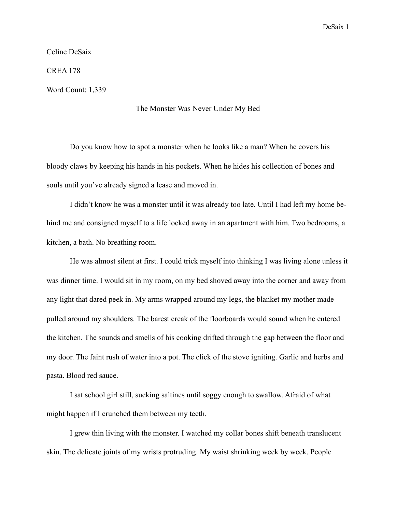Celine DeSaix

CREA 178

Word Count: 1,339

## The Monster Was Never Under My Bed

 Do you know how to spot a monster when he looks like a man? When he covers his bloody claws by keeping his hands in his pockets. When he hides his collection of bones and souls until you've already signed a lease and moved in.

 I didn't know he was a monster until it was already too late. Until I had left my home behind me and consigned myself to a life locked away in an apartment with him. Two bedrooms, a kitchen, a bath. No breathing room.

 He was almost silent at first. I could trick myself into thinking I was living alone unless it was dinner time. I would sit in my room, on my bed shoved away into the corner and away from any light that dared peek in. My arms wrapped around my legs, the blanket my mother made pulled around my shoulders. The barest creak of the floorboards would sound when he entered the kitchen. The sounds and smells of his cooking drifted through the gap between the floor and my door. The faint rush of water into a pot. The click of the stove igniting. Garlic and herbs and pasta. Blood red sauce.

 I sat school girl still, sucking saltines until soggy enough to swallow. Afraid of what might happen if I crunched them between my teeth.

 I grew thin living with the monster. I watched my collar bones shift beneath translucent skin. The delicate joints of my wrists protruding. My waist shrinking week by week. People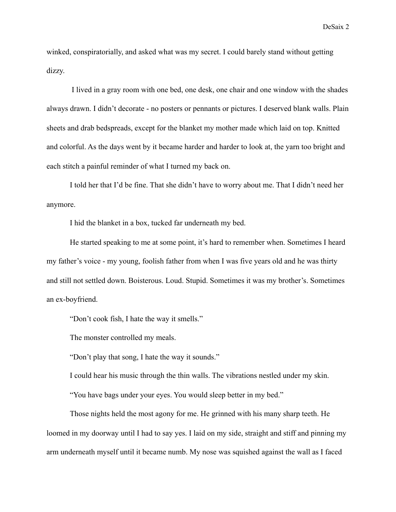winked, conspiratorially, and asked what was my secret. I could barely stand without getting dizzy.

 I lived in a gray room with one bed, one desk, one chair and one window with the shades always drawn. I didn't decorate - no posters or pennants or pictures. I deserved blank walls. Plain sheets and drab bedspreads, except for the blanket my mother made which laid on top. Knitted and colorful. As the days went by it became harder and harder to look at, the yarn too bright and each stitch a painful reminder of what I turned my back on.

I told her that I'd be fine. That she didn't have to worry about me. That I didn't need her anymore.

I hid the blanket in a box, tucked far underneath my bed.

 He started speaking to me at some point, it's hard to remember when. Sometimes I heard my father's voice - my young, foolish father from when I was five years old and he was thirty and still not settled down. Boisterous. Loud. Stupid. Sometimes it was my brother's. Sometimes an ex-boyfriend.

"Don't cook fish, I hate the way it smells."

The monster controlled my meals.

"Don't play that song, I hate the way it sounds."

I could hear his music through the thin walls. The vibrations nestled under my skin.

"You have bags under your eyes. You would sleep better in my bed."

 Those nights held the most agony for me. He grinned with his many sharp teeth. He loomed in my doorway until I had to say yes. I laid on my side, straight and stiff and pinning my arm underneath myself until it became numb. My nose was squished against the wall as I faced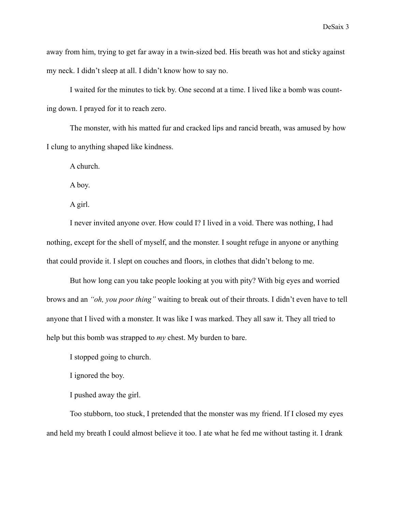away from him, trying to get far away in a twin-sized bed. His breath was hot and sticky against my neck. I didn't sleep at all. I didn't know how to say no.

 I waited for the minutes to tick by. One second at a time. I lived like a bomb was counting down. I prayed for it to reach zero.

 The monster, with his matted fur and cracked lips and rancid breath, was amused by how I clung to anything shaped like kindness.

A church.

A boy.

A girl.

 I never invited anyone over. How could I? I lived in a void. There was nothing, I had nothing, except for the shell of myself, and the monster. I sought refuge in anyone or anything that could provide it. I slept on couches and floors, in clothes that didn't belong to me.

 But how long can you take people looking at you with pity? With big eyes and worried brows and an *"oh, you poor thing"* waiting to break out of their throats. I didn't even have to tell anyone that I lived with a monster. It was like I was marked. They all saw it. They all tried to help but this bomb was strapped to *my* chest. My burden to bare.

I stopped going to church.

I ignored the boy.

I pushed away the girl.

 Too stubborn, too stuck, I pretended that the monster was my friend. If I closed my eyes and held my breath I could almost believe it too. I ate what he fed me without tasting it. I drank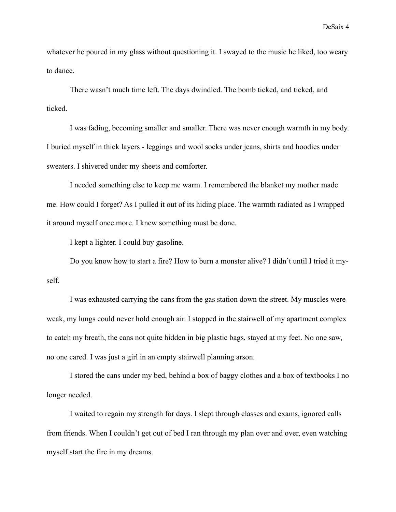whatever he poured in my glass without questioning it. I swayed to the music he liked, too weary to dance.

 There wasn't much time left. The days dwindled. The bomb ticked, and ticked, and ticked.

 I was fading, becoming smaller and smaller. There was never enough warmth in my body. I buried myself in thick layers - leggings and wool socks under jeans, shirts and hoodies under sweaters. I shivered under my sheets and comforter.

 I needed something else to keep me warm. I remembered the blanket my mother made me. How could I forget? As I pulled it out of its hiding place. The warmth radiated as I wrapped it around myself once more. I knew something must be done.

I kept a lighter. I could buy gasoline.

 Do you know how to start a fire? How to burn a monster alive? I didn't until I tried it myself.

 I was exhausted carrying the cans from the gas station down the street. My muscles were weak, my lungs could never hold enough air. I stopped in the stairwell of my apartment complex to catch my breath, the cans not quite hidden in big plastic bags, stayed at my feet. No one saw, no one cared. I was just a girl in an empty stairwell planning arson.

 I stored the cans under my bed, behind a box of baggy clothes and a box of textbooks I no longer needed.

 I waited to regain my strength for days. I slept through classes and exams, ignored calls from friends. When I couldn't get out of bed I ran through my plan over and over, even watching myself start the fire in my dreams.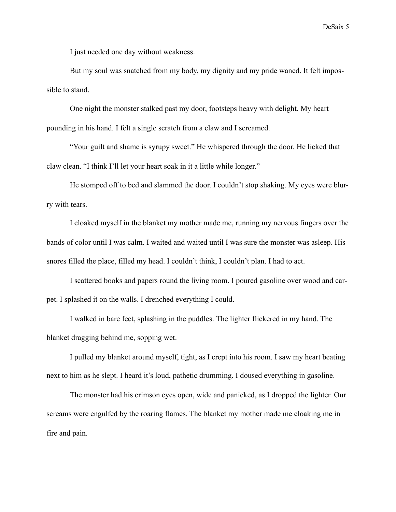I just needed one day without weakness.

But my soul was snatched from my body, my dignity and my pride waned. It felt impossible to stand.

 One night the monster stalked past my door, footsteps heavy with delight. My heart pounding in his hand. I felt a single scratch from a claw and I screamed.

 "Your guilt and shame is syrupy sweet." He whispered through the door. He licked that claw clean. "I think I'll let your heart soak in it a little while longer."

 He stomped off to bed and slammed the door. I couldn't stop shaking. My eyes were blurry with tears.

 I cloaked myself in the blanket my mother made me, running my nervous fingers over the bands of color until I was calm. I waited and waited until I was sure the monster was asleep. His snores filled the place, filled my head. I couldn't think, I couldn't plan. I had to act.

I scattered books and papers round the living room. I poured gasoline over wood and carpet. I splashed it on the walls. I drenched everything I could.

I walked in bare feet, splashing in the puddles. The lighter flickered in my hand. The blanket dragging behind me, sopping wet.

I pulled my blanket around myself, tight, as I crept into his room. I saw my heart beating next to him as he slept. I heard it's loud, pathetic drumming. I doused everything in gasoline.

The monster had his crimson eyes open, wide and panicked, as I dropped the lighter. Our screams were engulfed by the roaring flames. The blanket my mother made me cloaking me in fire and pain.